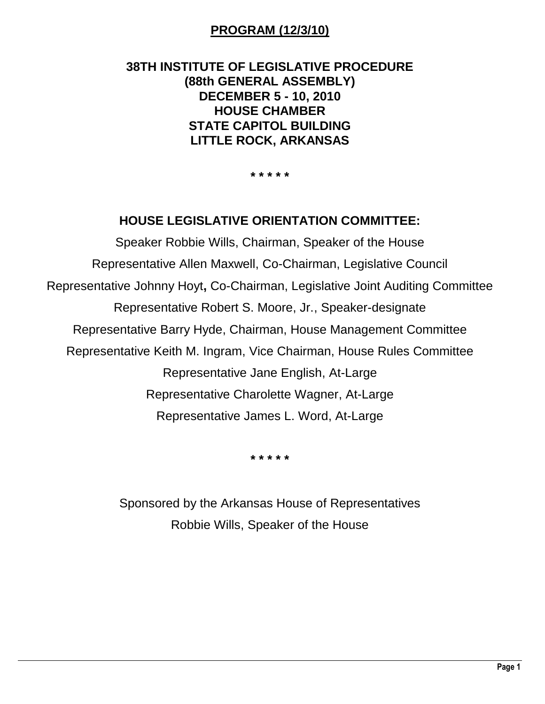# **PROGRAM (12/3/10)**

# **38TH INSTITUTE OF LEGISLATIVE PROCEDURE (88th GENERAL ASSEMBLY) DECEMBER 5 - 10, 2010 HOUSE CHAMBER STATE CAPITOL BUILDING LITTLE ROCK, ARKANSAS**

**\* \* \* \* \***

## **HOUSE LEGISLATIVE ORIENTATION COMMITTEE:**

Speaker Robbie Wills, Chairman, Speaker of the House Representative Allen Maxwell, Co-Chairman, Legislative Council Representative Johnny Hoyt**,** Co-Chairman, Legislative Joint Auditing Committee Representative Robert S. Moore, Jr., Speaker-designate Representative Barry Hyde, Chairman, House Management Committee Representative Keith M. Ingram, Vice Chairman, House Rules Committee Representative Jane English, At-Large Representative Charolette Wagner, At-Large Representative James L. Word, At-Large

**\* \* \* \* \***

Sponsored by the Arkansas House of Representatives Robbie Wills, Speaker of the House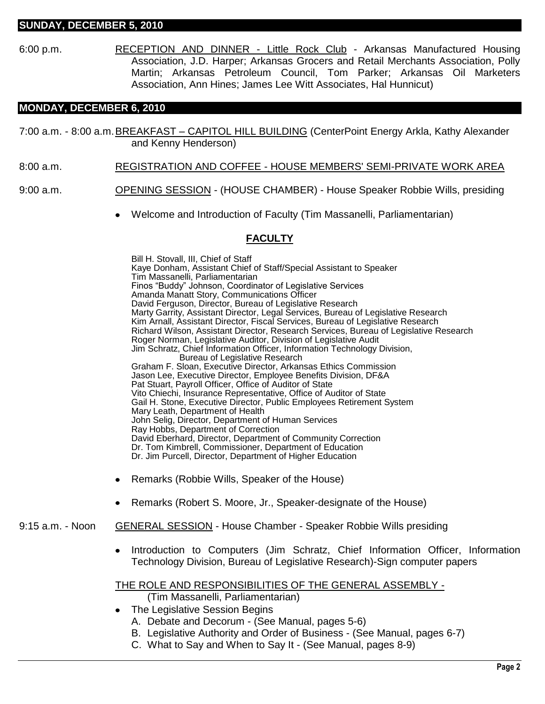#### **SUNDAY, DECEMBER 5, 2010**

6:00 p.m. RECEPTION AND DINNER - Little Rock Club - Arkansas Manufactured Housing Association, J.D. Harper; Arkansas Grocers and Retail Merchants Association, Polly Martin; Arkansas Petroleum Council, Tom Parker; Arkansas Oil Marketers Association, Ann Hines; James Lee Witt Associates, Hal Hunnicut)

#### **MONDAY, DECEMBER 6, 2010**

- 7:00 a.m. 8:00 a.m. BREAKFAST CAPITOL HILL BUILDING (CenterPoint Energy Arkla, Kathy Alexander and Kenny Henderson)
- 8:00 a.m. REGISTRATION AND COFFEE HOUSE MEMBERS' SEMI-PRIVATE WORK AREA
- 9:00 a.m. **OPENING SESSION** (HOUSE CHAMBER) House Speaker Robbie Wills, presiding
	- Welcome and Introduction of Faculty (Tim Massanelli, Parliamentarian)

#### **FACULTY**

Bill H. Stovall, III, Chief of Staff Kaye Donham, Assistant Chief of Staff/Special Assistant to Speaker Tim Massanelli, Parliamentarian Finos "Buddy" Johnson, Coordinator of Legislative Services Amanda Manatt Story, Communications Officer David Ferguson, Director, Bureau of Legislative Research Marty Garrity, Assistant Director, Legal Services, Bureau of Legislative Research Kim Arnall, Assistant Director, Fiscal Services, Bureau of Legislative Research Richard Wilson, Assistant Director, Research Services, Bureau of Legislative Research Roger Norman, Legislative Auditor, Division of Legislative Audit Jim Schratz, Chief Information Officer, Information Technology Division, Bureau of Legislative Research Graham F. Sloan, Executive Director, Arkansas Ethics Commission Jason Lee, Executive Director, Employee Benefits Division, DF&A Pat Stuart, Payroll Officer, Office of Auditor of State Vito Chiechi, Insurance Representative, Office of Auditor of State Gail H. Stone, Executive Director, Public Employees Retirement System Mary Leath, Department of Health John Selig, Director, Department of Human Services Ray Hobbs, Department of Correction David Eberhard, Director, Department of Community Correction Dr. Tom Kimbrell, Commissioner, Department of Education Dr. Jim Purcell, Director, Department of Higher Education

- Remarks (Robbie Wills, Speaker of the House)
- Remarks (Robert S. Moore, Jr., Speaker-designate of the House)
- 9:15 a.m. Noon GENERAL SESSION House Chamber Speaker Robbie Wills presiding
	- Introduction to Computers (Jim Schratz, Chief Information Officer, Information Technology Division, Bureau of Legislative Research)-Sign computer papers

#### THE ROLE AND RESPONSIBILITIES OF THE GENERAL ASSEMBLY -

(Tim Massanelli, Parliamentarian)

- The Legislative Session Begins
	- A. Debate and Decorum (See Manual, pages 5-6)
	- B. Legislative Authority and Order of Business (See Manual, pages 6-7)
	- C. What to Say and When to Say It (See Manual, pages 8-9)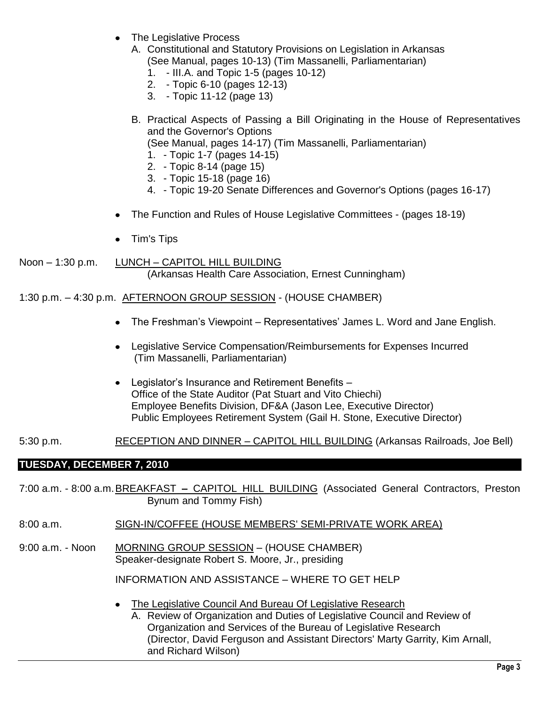- The Legislative Process
	- A. Constitutional and Statutory Provisions on Legislation in Arkansas (See Manual, pages 10-13) (Tim Massanelli, Parliamentarian)
		- 1. III.A. and Topic 1-5 (pages 10-12)
		- 2. Topic 6-10 (pages 12-13)
		- 3. Topic 11-12 (page 13)
	- B. Practical Aspects of Passing a Bill Originating in the House of Representatives and the Governor's Options (See Manual, pages 14-17) (Tim Massanelli, Parliamentarian)
		- 1. Topic 1-7 (pages 14-15)
		- 2. Topic 8-14 (page 15)
		- 3. Topic 15-18 (page 16)
		- 4. Topic 19-20 Senate Differences and Governor's Options (pages 16-17)
- The Function and Rules of House Legislative Committees (pages 18-19)
- Tim's Tips
- Noon 1:30 p.m. LUNCH CAPITOL HILL BUILDING (Arkansas Health Care Association, Ernest Cunningham)

#### 1:30 p.m. – 4:30 p.m. AFTERNOON GROUP SESSION - (HOUSE CHAMBER)

- The Freshman's Viewpoint Representatives' James L. Word and Jane English.
- Legislative Service Compensation/Reimbursements for Expenses Incurred (Tim Massanelli, Parliamentarian)
- Legislator's Insurance and Retirement Benefits Office of the State Auditor (Pat Stuart and Vito Chiechi) Employee Benefits Division, DF&A (Jason Lee, Executive Director) Public Employees Retirement System (Gail H. Stone, Executive Director)

#### 5:30 p.m. RECEPTION AND DINNER – CAPITOL HILL BUILDING (Arkansas Railroads, Joe Bell)

### **TUESDAY, DECEMBER 7, 2010**

7:00 a.m. - 8:00 a.m.BREAKFAST **–** CAPITOL HILL BUILDING (Associated General Contractors, Preston Bynum and Tommy Fish)

- 8:00 a.m. SIGN-IN/COFFEE (HOUSE MEMBERS' SEMI-PRIVATE WORK AREA)
- 9:00 a.m. Noon MORNING GROUP SESSION (HOUSE CHAMBER) Speaker-designate Robert S. Moore, Jr., presiding

INFORMATION AND ASSISTANCE – WHERE TO GET HELP

The Legislative Council And Bureau Of Legislative Research

A. Review of Organization and Duties of Legislative Council and Review of Organization and Services of the Bureau of Legislative Research (Director, David Ferguson and Assistant Directors' Marty Garrity, Kim Arnall, and Richard Wilson)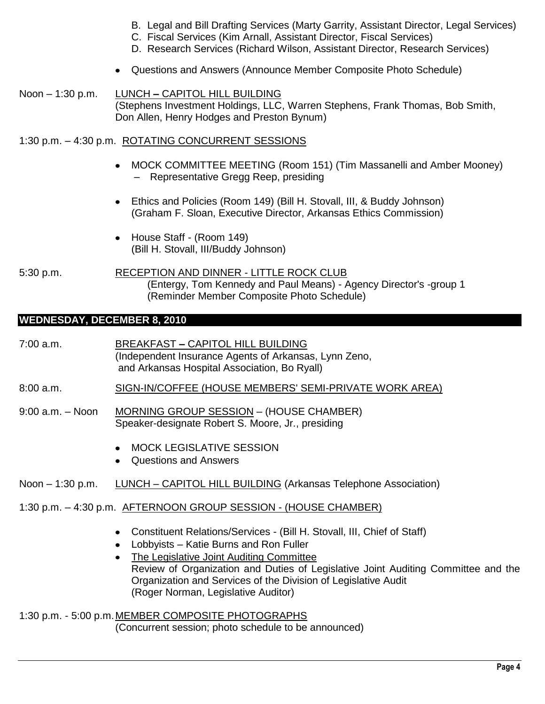- B. Legal and Bill Drafting Services (Marty Garrity, Assistant Director, Legal Services)
- C. Fiscal Services (Kim Arnall, Assistant Director, Fiscal Services)
- D. Research Services (Richard Wilson, Assistant Director, Research Services)
- Questions and Answers (Announce Member Composite Photo Schedule)
- Noon 1:30 p.m. LUNCH **–** CAPITOL HILL BUILDING (Stephens Investment Holdings, LLC, Warren Stephens, Frank Thomas, Bob Smith, Don Allen, Henry Hodges and Preston Bynum)

#### 1:30 p.m. – 4:30 p.m. ROTATING CONCURRENT SESSIONS

- MOCK COMMITTEE MEETING (Room 151) (Tim Massanelli and Amber Mooney) – Representative Gregg Reep, presiding
- Ethics and Policies (Room 149) (Bill H. Stovall, III, & Buddy Johnson) (Graham F. Sloan, Executive Director, Arkansas Ethics Commission)
- House Staff (Room 149) (Bill H. Stovall, III/Buddy Johnson)

5:30 p.m. RECEPTION AND DINNER - LITTLE ROCK CLUB (Entergy, Tom Kennedy and Paul Means) - Agency Director's -group 1 (Reminder Member Composite Photo Schedule)

### **WEDNESDAY, DECEMBER 8, 2010**

- 7:00 a.m. BREAKFAST **–** CAPITOL HILL BUILDING (Independent Insurance Agents of Arkansas, Lynn Zeno, and Arkansas Hospital Association, Bo Ryall)
- 8:00 a.m. SIGN-IN/COFFEE (HOUSE MEMBERS' SEMI-PRIVATE WORK AREA)
- 9:00 a.m. Noon MORNING GROUP SESSION (HOUSE CHAMBER) Speaker-designate Robert S. Moore, Jr., presiding
	- MOCK LEGISLATIVE SESSION
	- Questions and Answers
- Noon 1:30 p.m. LUNCH CAPITOL HILL BUILDING (Arkansas Telephone Association)
- 1:30 p.m. 4:30 p.m. AFTERNOON GROUP SESSION (HOUSE CHAMBER)
	- Constituent Relations/Services (Bill H. Stovall, III, Chief of Staff)
	- Lobbyists Katie Burns and Ron Fuller
	- The Legislative Joint Auditing Committee Review of Organization and Duties of Legislative Joint Auditing Committee and the Organization and Services of the Division of Legislative Audit (Roger Norman, Legislative Auditor)
- 1:30 p.m. 5:00 p.m. MEMBER COMPOSITE PHOTOGRAPHS (Concurrent session; photo schedule to be announced)